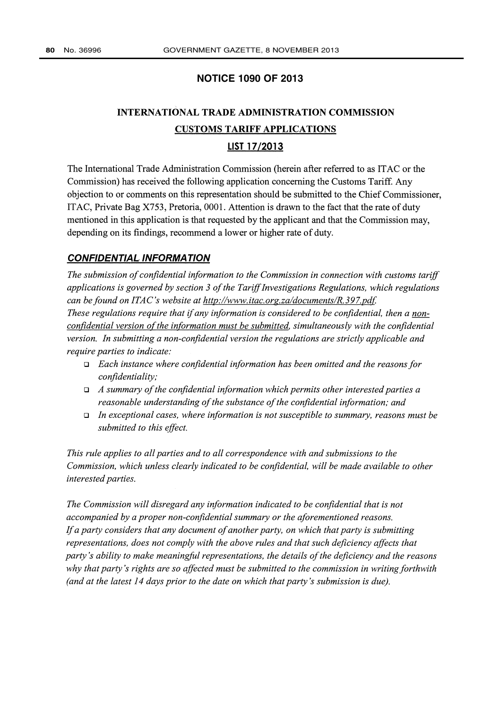## **NOTICE 1090 OF 2013**

# **INTERNATIONAL TRADE ADMINISTRATION COMMISSION CUSTOMS TARIFF APPLICATIONS**

# LIST 17/2013

The International Trade Administration Commission (herein after referred to as ITAC or the Commission) has received the following application concerning the Customs Tariff. Any objection to or comments on this representation should be submitted to the Chief Commissioner, ITAC, Private Bag X753, Pretoria, 0001. Attention is drawn to the fact that the rate of duty mentioned in this application is that requested by the applicant and that the Commission may, depending on its findings, recommend a lower or higher rate of duty.

#### **CONFIDENTIAL INFORMATION**

The submission of confidential information to the Commission in connection with customs tariff applications is governed by section 3 of the Tariff Investigations Regulations, which regulations can be found on ITAC's website at http://www.itac.org.za/documents/R.397.pdf. These regulations require that if any information is considered to be confidential, then a nonconfidential version of the information must be submitted, simultaneously with the confidential version. In submitting a non-confidential version the regulations are strictly applicable and require parties to indicate:

- $\Box$  Each instance where confidential information has been omitted and the reasons for confidentiality;
- $\Box$  A summary of the confidential information which permits other interested parties a reasonable understanding of the substance of the confidential information; and
- In exceptional cases, where information is not susceptible to summary, reasons must be submitted to this effect.

This rule applies to all parties and to all correspondence with and submissions to the Commission, which unless clearly indicated to be confidential, will be made available to other interested parties.

The Commission will disregard any information indicated to be confidential that is not accompanied by a proper non-confidential summary or the aforementioned reasons. If a party considers that any document of another party, on which that party is submitting representations, does not comply with the above rules and that such deficiency affects that party's ability to make meaningful representations, the details of the deficiency and the reasons why that party's rights are so affected must be submitted to the commission in writing forthwith (and at the latest 14 days prior to the date on which that party's submission is due).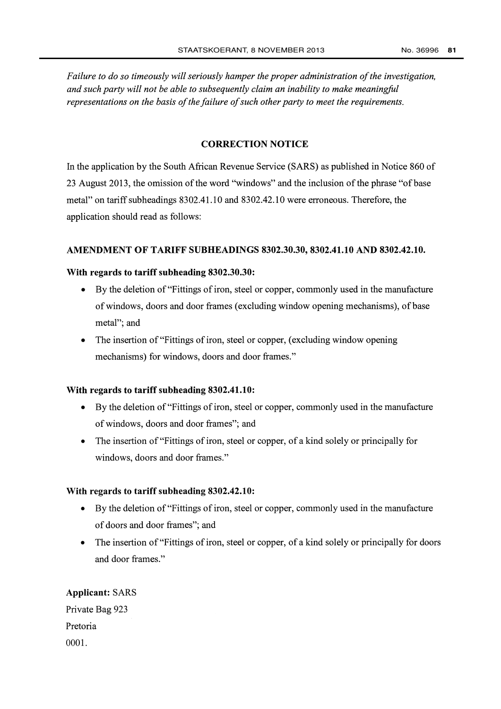Failure to do so timeously will seriously hamper the proper administration of the investigation, and such party will not be able to subsequently claim an inability to make meaningful representations on the basis of the failure of such other party to meet the requirements.

#### **CORRECTION NOTICE**

In the application by the South African Revenue Service (SARS) as published in Notice 860 of 23 August 2013, the omission of the word "windows" and the inclusion of the phrase "of base" metal" on tariff subheadings 8302.41.10 and 8302.42.10 were erroneous. Therefore, the application should read as follows:

#### AMENDMENT OF TARIFF SUBHEADINGS 8302.30.30, 8302.41.10 AND 8302.42.10.

#### With regards to tariff subheading 8302.30.30:

- By the deletion of "Fittings of iron, steel or copper, commonly used in the manufacture of windows, doors and door frames (excluding window opening mechanisms), of base metal"; and
- The insertion of "Fittings of iron, steel or copper, (excluding window opening mechanisms) for windows, doors and door frames."

#### With regards to tariff subheading 8302.41.10:

- By the deletion of "Fittings of iron, steel or copper, commonly used in the manufacture of windows, doors and door frames"; and
- The insertion of "Fittings of iron, steel or copper, of a kind solely or principally for windows, doors and door frames."

#### With regards to tariff subheading 8302.42.10:

- By the deletion of "Fittings of iron, steel or copper, commonly used in the manufacture of doors and door frames"; and
- The insertion of "Fittings of iron, steel or copper, of a kind solely or principally for doors and door frames."

#### **Applicant: SARS**

Private Bag 923 Pretoria  $0001.$